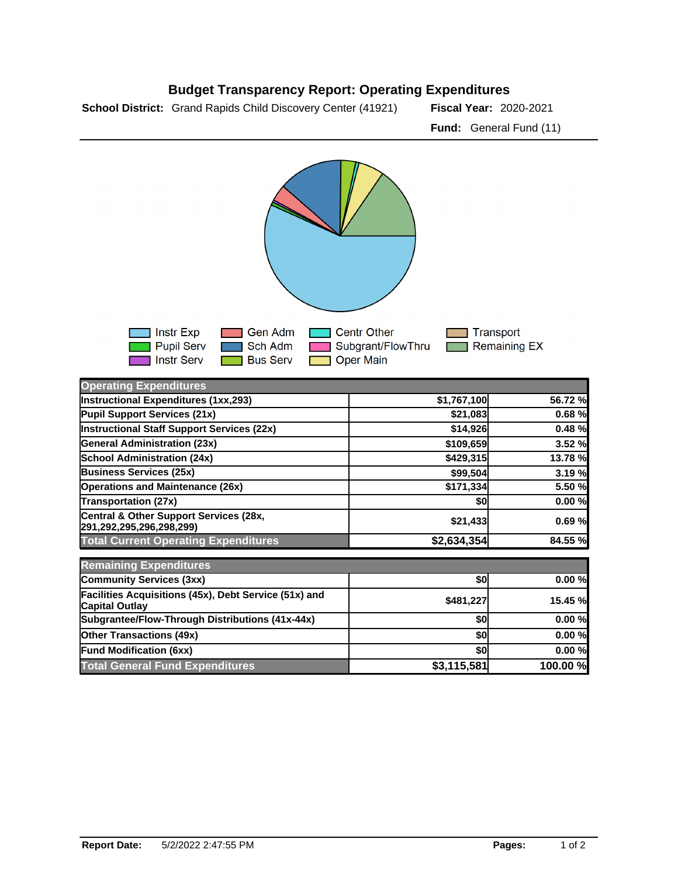## **Budget Transparency Report: Operating Expenditures**

**School District:** Grand Rapids Child Discovery Center (41921) Fiscal Year: 2020-2021

**Fund:** General Fund (11)



| <b>Operating Expenditures</b>                                                  |             |          |
|--------------------------------------------------------------------------------|-------------|----------|
| Instructional Expenditures (1xx,293)                                           | \$1,767,100 | 56.72 %  |
| Pupil Support Services (21x)                                                   | \$21,083    | 0.68%    |
| Instructional Staff Support Services (22x)                                     | \$14,926    | 0.48%    |
| <b>General Administration (23x)</b>                                            | \$109,659   | 3.52 %   |
| <b>School Administration (24x)</b>                                             | \$429,315   | 13.78 %  |
| <b>Business Services (25x)</b>                                                 | \$99,504    | 3.19%    |
| <b>Operations and Maintenance (26x)</b>                                        | \$171,334   | 5.50 %   |
| Transportation (27x)                                                           | \$0         | 0.00%    |
| Central & Other Support Services (28x,<br>291,292,295,296,298,299)             | \$21,433    | 0.69%    |
| <b>Total Current Operating Expenditures</b>                                    | \$2,634,354 | 84.55 %  |
| <b>Remaining Expenditures</b>                                                  |             |          |
| Community Services (3xx)                                                       | \$0         | 0.00%    |
| Facilities Acquisitions (45x), Debt Service (51x) and<br><b>Capital Outlay</b> | \$481,227   | 15.45 %  |
| Subgrantee/Flow-Through Distributions (41x-44x)                                | \$0         | 0.00%    |
| <b>Other Transactions (49x)</b>                                                | \$0         | 0.00%    |
| <b>Fund Modification (6xx)</b>                                                 | \$0l        | 0.00%    |
| <b>Total General Fund Expenditures</b>                                         | \$3,115,581 | 100.00 % |